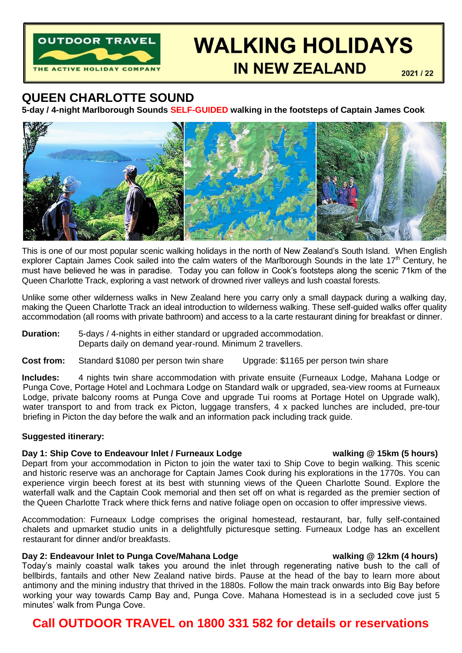

# **WALKING HOLIDAYS**

**IN NEW ZEALAND** 

2021 / 22

# **QUEEN CHARLOTTE SOUND**

**5-day / 4-night Marlborough Sounds SELF-GUIDED walking in the footsteps of Captain James Cook**



This is one of our most popular scenic walking holidays in the north of New Zealand's South Island. When English explorer Captain James Cook sailed into the calm waters of the Marlborough Sounds in the late 17<sup>th</sup> Century, he must have believed he was in paradise. Today you can follow in Cook's footsteps along the scenic 71km of the Queen Charlotte Track, exploring a vast network of drowned river valleys and lush coastal forests.

Unlike some other wilderness walks in New Zealand here you carry only a small daypack during a walking day, making the Queen Charlotte Track an ideal introduction to wilderness walking. These self-guided walks offer quality accommodation (all rooms with private bathroom) and access to a la carte restaurant dining for breakfast or dinner.

**Duration:** 5-days / 4-nights in either standard or upgraded accommodation. Departs daily on demand year-round. Minimum 2 travellers.

**Cost from:** Standard \$1080 per person twin share Upgrade: \$1165 per person twin share

**Includes:** 4 nights twin share accommodation with private ensuite (Furneaux Lodge, Mahana Lodge or Punga Cove, Portage Hotel and Lochmara Lodge on Standard walk or upgraded, sea-view rooms at Furneaux Lodge, private balcony rooms at Punga Cove and upgrade Tui rooms at Portage Hotel on Upgrade walk). water transport to and from track ex Picton, luggage transfers, 4 x packed lunches are included, pre-tour briefing in Picton the day before the walk and an information pack including track guide.

## **Suggested itinerary:**

## **Day 1: Ship Cove to Endeavour Inlet / Furneaux Lodge walking @ 15km (5 hours)**

Depart from your accommodation in Picton to join the water taxi to Ship Cove to begin walking. This scenic and historic reserve was an anchorage for Captain James Cook during his explorations in the 1770s. You can experience virgin beech forest at its best with stunning views of the Queen Charlotte Sound. Explore the waterfall walk and the Captain Cook memorial and then set off on what is regarded as the premier section of the Queen Charlotte Track where thick ferns and native foliage open on occasion to offer impressive views.

Accommodation: Furneaux Lodge comprises the original homestead, restaurant, bar, fully self-contained chalets and upmarket studio units in a delightfully picturesque setting. Furneaux Lodge has an excellent restaurant for dinner and/or breakfasts.

# **Day 2: Endeavour Inlet to Punga Cove/Mahana Lodge walking @ 12km (4 hours)**

Today's mainly coastal walk takes you around the inlet through regenerating native bush to the call of bellbirds, fantails and other New Zealand native birds. Pause at the head of the bay to learn more about antimony and the mining industry that thrived in the 1880s. Follow the main track onwards into Big Bay before working your way towards Camp Bay and, Punga Cove. Mahana Homestead is in a secluded cove just 5 minutes' walk from Punga Cove.

# **Call OUTDOOR TRAVEL on 1800 331 582 for details or reservations**